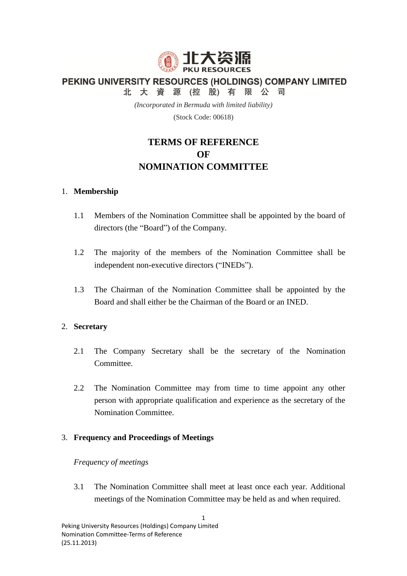

PEKING UNIVERSITY RESOURCES (HOLDINGS) COMPANY LIMITED

北大資源(控股)有限公司

*(Incorporated in Bermuda with limited liability)*

(Stock Code: 00618)

# **TERMS OF REFERENCE OF NOMINATION COMMITTEE**

## 1. **Membership**

- 1.1 Members of the Nomination Committee shall be appointed by the board of directors (the "Board") of the Company.
- 1.2 The majority of the members of the Nomination Committee shall be independent non-executive directors ("INEDs").
- 1.3 The Chairman of the Nomination Committee shall be appointed by the Board and shall either be the Chairman of the Board or an INED.

## 2. **Secretary**

- 2.1 The Company Secretary shall be the secretary of the Nomination Committee.
- 2.2 The Nomination Committee may from time to time appoint any other person with appropriate qualification and experience as the secretary of the Nomination Committee.

# 3. **Frequency and Proceedings of Meetings**

## *Frequency of meetings*

3.1 The Nomination Committee shall meet at least once each year. Additional meetings of the Nomination Committee may be held as and when required.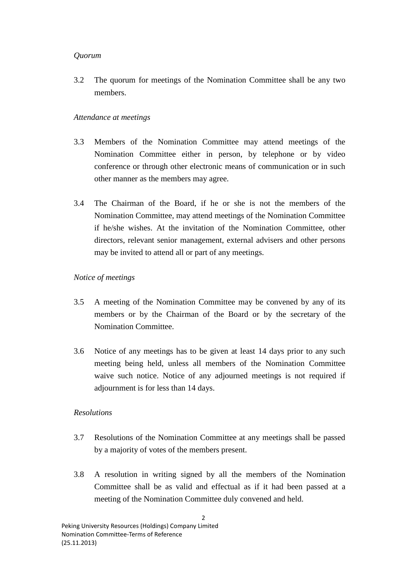## *Quorum*

3.2 The quorum for meetings of the Nomination Committee shall be any two members.

# *Attendance at meetings*

- 3.3 Members of the Nomination Committee may attend meetings of the Nomination Committee either in person, by telephone or by video conference or through other electronic means of communication or in such other manner as the members may agree.
- 3.4 The Chairman of the Board, if he or she is not the members of the Nomination Committee, may attend meetings of the Nomination Committee if he/she wishes. At the invitation of the Nomination Committee, other directors, relevant senior management, external advisers and other persons may be invited to attend all or part of any meetings.

## *Notice of meetings*

- 3.5 A meeting of the Nomination Committee may be convened by any of its members or by the Chairman of the Board or by the secretary of the Nomination Committee.
- 3.6 Notice of any meetings has to be given at least 14 days prior to any such meeting being held, unless all members of the Nomination Committee waive such notice. Notice of any adjourned meetings is not required if adjournment is for less than 14 days.

# *Resolutions*

- 3.7 Resolutions of the Nomination Committee at any meetings shall be passed by a majority of votes of the members present.
- 3.8 A resolution in writing signed by all the members of the Nomination Committee shall be as valid and effectual as if it had been passed at a meeting of the Nomination Committee duly convened and held.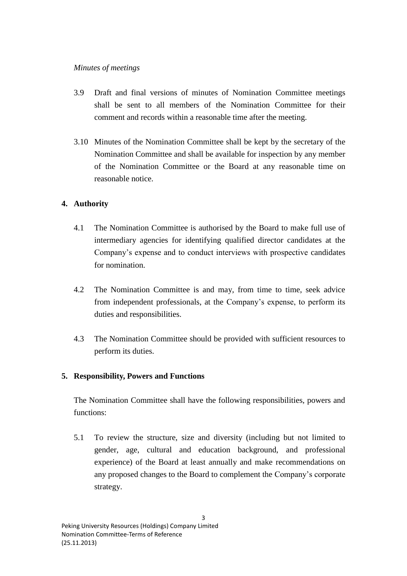## *Minutes of meetings*

- 3.9 Draft and final versions of minutes of Nomination Committee meetings shall be sent to all members of the Nomination Committee for their comment and records within a reasonable time after the meeting.
- 3.10 Minutes of the Nomination Committee shall be kept by the secretary of the Nomination Committee and shall be available for inspection by any member of the Nomination Committee or the Board at any reasonable time on reasonable notice.

# **4. Authority**

- 4.1 The Nomination Committee is authorised by the Board to make full use of intermediary agencies for identifying qualified director candidates at the Company's expense and to conduct interviews with prospective candidates for nomination.
- 4.2 The Nomination Committee is and may, from time to time, seek advice from independent professionals, at the Company's expense, to perform its duties and responsibilities.
- 4.3 The Nomination Committee should be provided with sufficient resources to perform its duties.

# **5. Responsibility, Powers and Functions**

The Nomination Committee shall have the following responsibilities, powers and functions:

5.1 To review the structure, size and diversity (including but not limited to gender, age, cultural and education background, and professional experience) of the Board at least annually and make recommendations on any proposed changes to the Board to complement the Company's corporate strategy.